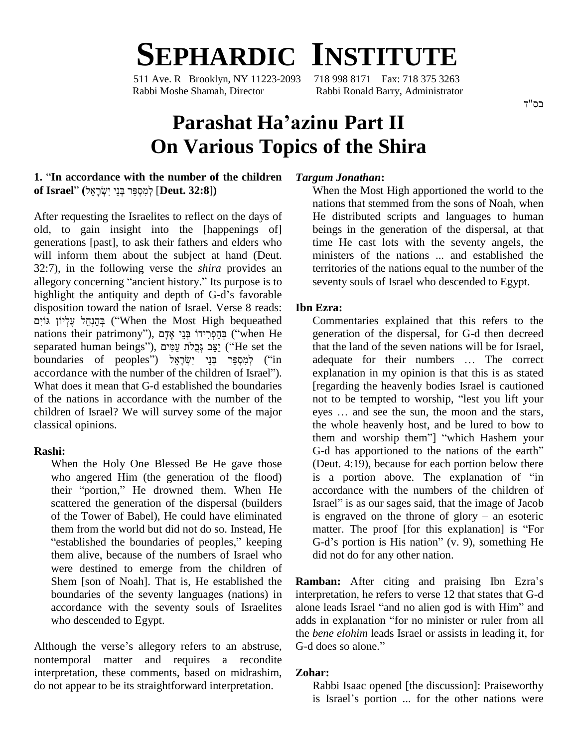# **SEPHARDIC INSTITUTE**

511 Ave. R Brooklyn, NY 11223-2093 Rabbi Moshe Shamah, Director Rabbi Ronald Barry, Administrator

## **Parashat Haíazinu Part II On Various Topics of the Shira**

#### **1.** <sup>ì</sup>**In accordance with the number of the children of Israel**<sup>î</sup> **(**ʬʠʒʸʕˈʍʑʩ ʩʒʰˎʍ ʸ˝ʔʱʍʮʑʬʍ [**Deut. 32:8**]**)**

After requesting the Israelites to reflect on the days of old, to gain insight into the [happenings of] generations [past], to ask their fathers and elders who will inform them about the subject at hand (Deut. mixed: 132:7), in the following verse the *shira* provides an ter allegory concerning "ancient history." Its purpose is to 32:7), in the following verse the *shira* provides an ter allegory concerning "ancient history." Its purpose is to see highlight the antiquity and depth of G-d's favorable disposition toward the nation of Israel. Verse 8 reads: Ib highlight the antiquity and depth of G-d's favorable iight the antiquity and depth of G-d's favorable<br>
ion toward the nation of Israel. Verse 8 reads: **Ibn E**<br>
<u>Engericity</u> Corress ("When the Most High bequeathed Corress") disposition toward the nation of Israel. Verse 8 reads: **Ibn I**<br>יהוא יְצְלְיוֹן גּוֹיִם (''When the Most High bequeathed C<br>mations their patrimony''), בְּהֵפְרִידוֹ בְּנֵי אֶדָם (''when He בְּהֵנְחֵל עֶלְיוֹן גִּוֹיִם ("When the Most High bequeathed C<br>nations their patrimony"), בְּהַפְּרִידוֹ בְּנֵי אָדָם ("when He graated human beings"), יַצֵּב גְּבָלֹת עַמִּים nations their patrimony"), בְּהֵפְרִידוֹ בְּנֵי אָדָם ("when He ge separated human beings"), בְּצֵב גְּבֵלֹת עַמִּים<br>צִבּ גְּבֵלֹת עַמִּים ("He set the that יָצֵב גְּבֵלֹת עַמִּים) ("He set the boundaries of peoples") לְמ separated human beings"), יַצֵּב גְּבָלֹת עַמִּים ("He set the boundaries of peoples") יַצִּב גְּבָלֹת יַעֲמִי<br>הַלְמִסְפַּּר בְּנֵי יִשְׂרָאֵל ("in accordance with the number of the children of Israel"). What does it mean that G-d established the boundaries of the nations in accordance with the number of the children of Israel? We will survey some of the major classical opinions.

#### **Rashi:**

When the Holy One Blessed Be He gave those (I<br>who angered Him (the generation of the flood) is<br>their "portion," He drowned them. When He a who angered Him (the generation of the flood) scattered the generation of the dispersal (builders of the Tower of Babel), He could have eliminated ìthem from the world but did not do so. Instead, He f the Tower of Babel), He could have eliminated<br>nem from the world but did not do so. Instead, He<br>established the boundaries of peoples," keeping Gthem from the world but did not do so. Instead, He<br>
"established the boundaries of peoples," keeping G-<br>
them alive, because of the numbers of Israel who did were destined to emerge from the children of Shem [son of Noah]. That is, He established the boundaries of the seventy languages (nations) in accordance with the seventy souls of Israelites who descended to Egypt.

Although the verse's allegory refers to an abstruse, G-d does so alone." nontemporal matter and requires a recondite interpretation, these comments, based on midrashim, do not appear to be its straightforward interpretation.

#### *Targum Jonathan***:**

When the Most High apportioned the world to the nations that stemmed from the sons of Noah, when He distributed scripts and languages to human beings in the generation of the dispersal, at that time He cast lots with the seventy angels, the ministers of the nations ... and established the territories of the nations equal to the number of the seventy souls of Israel who descended to Egypt.

#### **Ibn Ezra:**

Commentaries explained that this refers to the generation of the dispersal, for G-d then decreed<br>that the land of the seven nations will be for Israel,<br>adequate for their numbers ... The correct that the land of the seven nations will be for Israel, explanation in my opinion is that this is as stated [regarding the heavenly bodies Israel is cautioned explanation in my opinion is that this is as stated<br>[regarding the heavenly bodies Israel is cautioned<br>not to be tempted to worship, "lest you lift your [regarding the heavenly bodies Israel is cautioned<br>not to be tempted to worship, "lest you lift your<br>eyes ... and see the sun, the moon and the stars, the whole heavenly host, and be lured to bow to eves ... and see the sun, the moon and the stars, them and worship them"] "which Hashem your G-d has apportioned to the nations of the earth" (Deut. 4:19), because for each portion below there G-d has apportioned to the nations of the earth"<br>(Deut. 4:19), because for each portion below there<br>is a portion above. The explanation of "in accordance with the numbers of the children of<br>Israel" is as our sages said, that the image of Jacob<br>is engraved on the throne of glory – an esoteric is a portion above. The explanation of "in<br>accordance with the numbers of the children of<br>Israel" is as our sages said, that the image of Jacob Israel" is as our sages said, that the image of Jacob is engraved on the throne of  $glory - an esoteric$ matter. The proof [for this explanation] is "For G-d's portion is His nation" (v. 9), something He did not do for any other nation.

**Ramban:** After citing and praising Ibn Ezra's interpretation, he refers to verse 12 that states that G-d **Ramban:** After citing and praising Ibn Ezra's interpretation, he refers to verse 12 that states that G-d alone leads Israel "and no alien god is with Him" and interpretation, he refers to verse 12 that states that G-d<br>alone leads Israel "and no alien god is with Him" and<br>adds in explanation "for no minister or ruler from all the *bene elohim* leads Israel or assists in leading it, for adds in explanation "for no minister or ruler from all

#### **Zohar:**

Rabbi Isaac opened [the discussion]: Praiseworthy is Israel's portion ... for the other nations were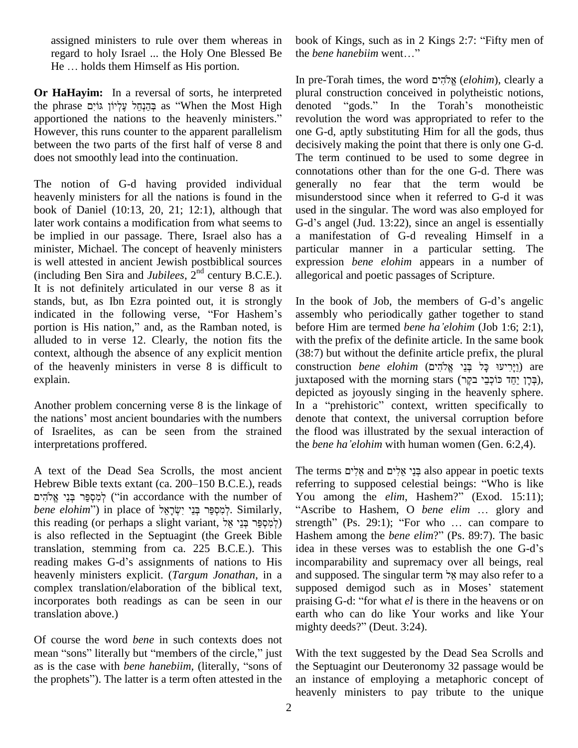assigned ministers to rule over them whereas in book of regard to holy Israel ... the Holy One Blessed Be the beach He ... holds them Himself as His portion. regard to holy Israel ... the Holy One Blessed Be the *bene hanebiim* went..."

**Or HaHayim:** In a reversal of sorts, he interpreted In pre<br>**Or HaHayim:** In a reversal of sorts, he interpreted plural<br>as "When the Most High denote" as  $\frac{1}{2}$  as "When the Most High denote **Or HaHayim:** In a reversal of sorts, he interpreted plura<br>the phrase הֲהַנְחֵל עֶלְיוֹן גּוֹיִם as "When the Most High denous<br>apportioned the nations to the heavenly ministers." revol However, this runs counter to the apparent parallelism between the two parts of the first half of verse 8 and does not smoothly lead into the continuation.

The notion of G-d having provided individual heavenly ministers for all the nations is found in the book of Daniel (10:13, 20, 21; 12:1), although that later work contains a modification from what seems to be implied in our passage. There, Israel also has a minister, Michael. The concept of heavenly ministers is well attested in ancient Jewish postbiblical sources  $(including Ben Sira and *Jubilees*,  $2<sup>nd</sup>$  century B.C.E.).$ It is not definitely articulated in our verse 8 as it stands, but, as Ibn Ezra pointed out, it is strongly It is not definitely articulated in our verse 8 as it<br>stands, but, as Ibn Ezra pointed out, it is strongly In t<br>indicated in the following verse, "For Hashem's asse stands, but, as Ibn Ezra pointed out, it is strongly In t<br>indicated in the following verse, "For Hashem's asse<br>portion is His nation," and, as the Ramban noted, is befo alluded to in verse 12. Clearly, the notion fits the context, although the absence of any explicit mention of the heavenly ministers in verse 8 is difficult to explain.

Another problem concerning verse 8 is the linkage of depi<br>Another problem concerning verse 8 is the linkage of In a<br>the nations' most ancient boundaries with the numbers deno of Israelites, as can be seen from the strained interpretations proffered.

A text of the Dead Sea Scrolls, the most ancient Th A text of the Dead Sea Scrolls, the most ancient The<br>Hebrew Bible texts extant (ca. 200–150 B.C.E.), reads referent f of the Dead Sea Scrolls, the most ancient The<br>w Bible texts extant (ca. 200–150 B.C.E.), reads refe<br>יְמִסְפֵּר בְּנֵי ("in accordance with the number of Yo Hebrew Bible texts extant (ca. 200–150 B.C.E.), reads re<br>
קיפָּר בְּנֵי אֱלֹהִים (in accordance with the number of Y*bene elohim*'') in place of קימִסְפַּר בְּנֵי יִשְׂרָאֵל לְמִסְפֵּר בְּנֵי אֱלֹהִים (in accordance with the number of You among the *elim*, Hashem?" (Exod. 15:11); *bene elohim*") in place of לְמִסְפֵּר בְּנֵי יִשְׂרָאֵל Similarly, "Ascribe to Hashem, O *bene elim* ... glory a is also reflected in the Septuagint (the Greek Bible translation, stemming from ca. 225 B.C.E.). This reading makes G-d's assignments of nations to His heavenly ministers explicit. (*Targum Jonathan*, in a complex translation/elaboration of the biblical text, supposed demigod such as in Moses' statement incorporates both readings as can be seen in our translation above.)

Of course the word *bene* in such contexts does not m<br>Of course the word *bene* in such contexts does not<br>mean "sons" literally but "members of the circle," just W Of course the word *bene* in such contexts does not<br>mean "sons" literally but "members of the circle," just<br>as is the case with *bene hanebiim*, (literally, "sons of the mean "sons" literally but "members of the circle," just With as is the case with *bene hanebiim*, (literally, "sons of the S the prophets"). The latter is a term often attested in the an in

book of Kings, such as in 2 Kings 2:7: "Fifty men of book of Kings, such as in 2 Kings<br>the *bene hanebiim* went..."

In pre-Torah times, the word ʭʩʤʑ˄ʠʎ (*elohim*), clearly <sup>a</sup> plural construction conceived in polytheistic notions, In pre-Torah times, the word אֱלֹהִים (elohim), clearly a plural construction conceived in polytheistic notions,<br>denoted "gods." In the Torah's monotheistic revolution the word was appropriated to refer to the one G-d, aptly substituting Him for all the gods, thus decisively making the point that there is only one G-d. The term continued to be used to some degree in connotations other than for the one G-d. There was generally no fear that the term would be misunderstood since when it referred to G-d it was used in the singular. The word was also employed for G-d's angel (Jud. 13:22), since an angel is essentially a manifestation of G-d revealing Himself in a particular manner in a particular setting. The expression *bene elohim* appears in a number of allegorical and poetic passages of Scripture.

In the book of Job, the members of G-d's angelic assembly who periodically gather together to stand In the book of Job, the members of G-d's angelic<br>assembly who periodically gather together to stand<br>before Him are termed *bene* ha'*elohim* (Job 1:6; 2:1), with the prefix of the definite article. In the same book (38:7) but without the definite article prefix, the plural with the prefix of the definite article. In the same book<br>(38:7) but without the definite article prefix, the plural<br>construction *bene elohim* (יַיָּרִיעּוּ כָּל בְּנֵי אֱלֹהִים) are (38:7) but without the definite article prefix, the plural<br>construction *bene elohim* (בְּיָרְיעוּ כָּל בְּנֵי אֱלֹהָים) are<br>juxtaposed with the morning stars (בְּרָן יַחֲד כּוֹכְבֵי בקֶר), depicted as joyously singing in the heavenly sphere. juxtaposed with the morning stars (בְּרָן יַחַד כּוֹכְבֵי בקֶר), depicted as joyously singing in the heavenly sphere.<br>In a "prehistoric" context, written specifically to denote that context, the universal corruption before the flood was illustrated by the sexual interaction of denote that context, the universal corruption before<br>the flood was illustrated by the sexual interaction of<br>the *bene* ha'*elohim* with human women (Gen. 6:2,4). the *bene ha'elohim* with human women (Gen. 6:2,4).<br>The terms אֱלִים also appear in poetic texts

referring to supposed celestial beings: <sup>ì</sup>Who is like The terms אֲלִים and בְּנֵי אֱלִים also appear in poetic texts<br>referring to supposed celestial beings: "Who is like<br>You among the *elim*, Hashem?" (Exod. 15:11); "Ascribe to Hashem, O *bene elim* ... glory and You among the *elim*, Hashem?" (Exod. 15:11);<br>"Ascribe to Hashem, O *bene elim* ... glory and strength" (Ps. 29:1); "For who ... can compare to "Ascribe to Hashem, O *bene elim* ... glory and strength" (Ps. 29:1); "For who ... can compare to Hashem among the *bene elim*?" (Ps. 89:7). The basic strength" (Ps. 29:1); "For who ... can compare to<br>Hashem among the *bene elim*?" (Ps. 89:7). The basic<br>idea in these verses was to establish the one G-d's incomparability and supremacy over all beings, real idea in these verses was to establish the one G-d's and supposed. The singular term אל may also refer to a and supposed. The singular term  $\frac{1}{2}$ <sup>2</sup> may also refer to a supposed demigod such as in Moses' statement praising G-d: "for what *el* is there in the heavens or on earth who can do like Your works and like Your praising G-d: "for what *el* is there<br>earth who can do like Your w<br>mighty deeds?" (Deut. 3:24).

With the text suggested by the Dead Sea Scrolls and the Septuagint our Deuteronomy 32 passage would be an instance of employing a metaphoric concept of heavenly ministers to pay tribute to the unique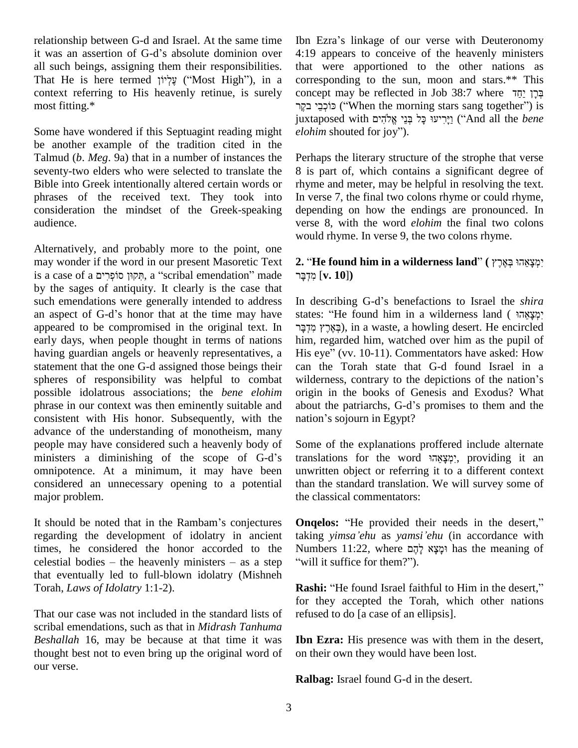relationship between G-d and Israel. At the same time relationship between G-d and Israel. At the same time Ibn<br>it was an assertion of G-d's absolute dominion over 4:1 all such beings, assigning them their responsibilities. it was an assertion of G-d's absolute dominion over all such beings, assigning them their responsibilities.<br>That He is here termed γγ ψ ("Most High"), in a context referring to His heavenly retinue, is surely most fitting.\*

Some have wondered if this Septuagint reading might *elohim* shouted for joy"). be another example of the tradition cited in the Talmud (*b*. *Meg*. 9a) that in a number of instances the seventy-two elders who were selected to translate the Bible into Greek intentionally altered certain words or phrases of the received text. They took into consideration the mindset of the Greek-speaking audience.

Alternatively, and probably more to the point, one may wonder if the word in our present Masoretic Text is a case of a תִּקוּן סוֹפְרִים, a "scribal emendation" made by the sages of antiquity. It clearly is the case that such emendations were generally intended to address In de an aspect of G-d's honor that at the time may have states such emendations were generally intended to address appeared to be compromised in the original text. In early days, when people thought in terms of nations having guardian angels or heavenly representatives, a statement that the one G-d assigned those beings their spheres of responsibility was helpful to combat wilderness, contrary to the depictions of the nation's possible idolatrous associations; the *bene elohim* phrase in our context was then eminently suitable and consistent with His honor. Subsequently, with the nation's sojourn in Egypt? advance of the understanding of monotheism, many people may have considered such a heavenly body of advance of the understanding of monotheism, many<br>people may have considered such a heavenly body of Som<br>ministers a diminishing of the scope of G-d's trans omnipotence. At a minimum, it may have been considered an unnecessary opening to a potential major problem.

It should be noted that in the Rambam's conjectures regarding the development of idolatry in ancient taking<br>times, he considered the honor accorded to the Numb<br>celestial bodies – the heavenly ministers – as a step "will i times, he considered the honor accorded to the that eventually led to full-blown idolatry (Mishneh Torah, *Laws of Idolatry* 1:1-2).

That our case was not included in the standard lists of scribal emendations, such as that in *Midrash Tanhuma Beshallah* 16, may be because at that time it was thought best not to even bring up the original word of our verse.

Ibn Ezra's linkage of our verse with Deuteronomy 4:19 appears to conceive of the heavenly ministers that were apportioned to the other nations as corresponding to the sun, moon and stars.\*\* This that were apportioned to the other nations as corresponding to the sun, moon and stars.\*\* This concept may be reflected in Job 38:7 where  $\frac{1}{7}$ קְ $\frac{1}{7}$ esponding to the sun, moon and stars.\*\* This<br>יִבְּרָן יַחֲד ept may be reflected in Job 38:7 where בְּרָן יַחֲד<br>יוֹט ("When the morning stars sang together") is concept may be reflected in Job 38:7 where בְּרָן יַחֲד<br>יֹן כִּוּכְבֵי בקֶר ("When the morning stars sang together") is<br>juxtaposed with יֵירֵיעוּ כָּל בְּנֵי אֱלֹהִים ("And all the *bene* ּפוֹרְבֵי בקֶר ("When the mornin<sub>i</sub>) כּוֹרְבֵי בקֶר<br>iuxtaposed with בְּל בְּנֵי אֱלֹהִים<br>*elohim* shouted for joy").

Perhaps the literary structure of the strophe that verse 8 is part of, which contains a significant degree of rhyme and meter, may be helpful in resolving the text. In verse 7, the final two colons rhyme or could rhyme, depending on how the endings are pronounced. In verse 8, with the word *elohim* the final two colons would rhyme. In verse 9, the two colons rhyme.

### **2.** <sup>ì</sup>**He found him in <sup>a</sup> wilderness land**<sup>î</sup> **(** ʵʸʓʠʓˎʍ ˒ʤʠʒʶʕʮʍʑʩ ʸˎʕʣʍʮʑ [**v. 10**]**)** מִדְבָּר [**v. 10**])<br>In describing G-d's benefactions to Israel the *shira*

i<br>In describing G-d's benefactions to Israel the *shira*<br>states: "He found him in a wilderness land ( יִמְצָאֵהי scribing G-d's benefactions to Israel the *shira*<br>: "He found him in a wilderness land (מְצָאֲהָי,<br>), in a waste, a howling desert. He encircled him, regarded him, watched over him as the pupil of ּבְאֶרֶץ מִזְבָּר), in a waste, a howling desert. He encircled<br>him, regarded him, watched over him as the pupil of<br>His eye'' (vv. 10-11). Commentators have asked: How can the Torah state that G-d found Israel in a His eye" (vv.  $10-11$ ). Commentators have asked: How origin in the books of Genesis and Exodus? What wilderness, contrary to the depictions of the nation's<br>origin in the books of Genesis and Exodus? What<br>about the patriarchs, G-d's promises to them and the origin in the books of Genesis<br>about the patriarchs, G-d's promis<br>nation's sojourn in Egypt?

Some of the explanations proffered include alternate translations for the word יִמְצֹאהוּ, providing it an unwritten object or referring it to a different context than the standard translation. We will survey some of the classical commentators:

**Ongelos:** "He provided their needs in the desert," taking *yimsaíehu* as *yamsiíehu* (in accordance with **Onqelos:** "He provided their needs in the desert,"<br>taking *yimsa'ehu* as *yamsi'ehu* (in accordance with<br>Numbers 11:22, where  $\phi$ לְאָל לְהָם has the meaning of aking *yimsa'ehu* as *yamsi'ehu*<br>Wumbers 11:22, where עֲלֶה will it suffice for them?"). will it suffice for them?").<br>**Rashi:** "He found Israel faithful to Him in the desert,"

for they accepted the Torah, which other nations refused to do [a case of an ellipsis].

**Ibn Ezra:** His presence was with them in the desert, on their own they would have been lost.

**Ralbag:** Israel found G-d in the desert.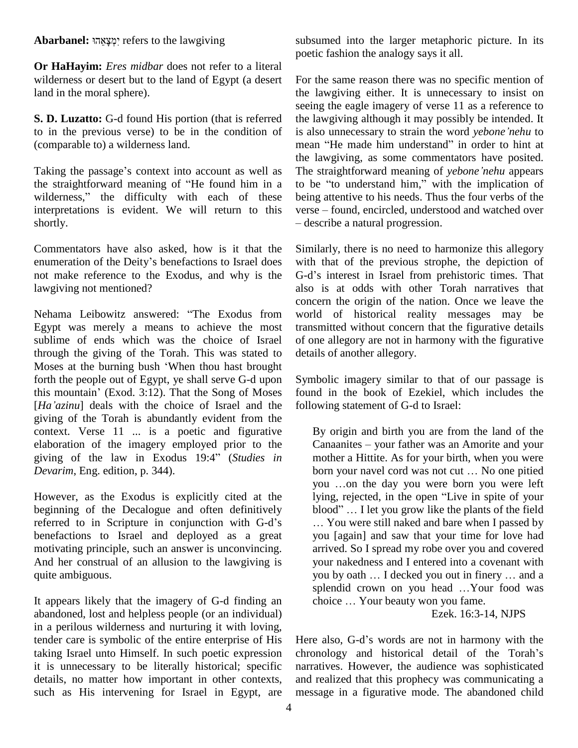#### Abarbanel: יִמְצֵאֵהוּ<sup>2</sup> refers to the lawgiving

**Or HaHayim:** *Eres midbar* does not refer to a literal wilderness or desert but to the land of Egypt (a desert land in the moral sphere).

**S. D. Luzatto:** G-d found His portion (that is referred to in the previous verse) to be in the condition of (comparable to) a wilderness land.

Taking the passage's context into account as well as The straightforward meaning of *yebone'nehu* appears the la<br>Taking the passage's context into account as well as The straightforward meaning of "He found him in a to be Taking the passage's context into account as well as The steep the straightforward meaning of "He found him in a to be wilderness," the difficulty with each of these being interpretations is evident. We will return to this verse – found, encircled, understood and watched over shortly.

Commentators have also asked, how is it that the enumeration of the Deity's benefactions to Israel does not make reference to the Exodus, and why is the G-d's interest in Israel from prehistoric times. That lawgiving not mentioned?

Nehama Leibowitz answered: "The Exodus from Egypt was merely a means to achieve the most sublime of ends which was the choice of Israel through the giving of the Torah. This was stated to sublime of ends which was the choice of Israel of<br>through the giving of the Torah. This was stated to de<br>Moses at the burning bush 'When thou hast brought forth the people out of Egypt, ye shall serve G-d upon Moses at the burning bush 'When thou hast brought<br>forth the people out of Egypt, ye shall serve G-d upon Sym<br>this mountain' (Exod. 3:12). That the Song of Moses four [*Haíazinu*] deals with the choice of Israel and the giving of the Torah is abundantly evident from the context. Verse 11 ... is a poetic and figurative elaboration of the imagery employed prior to the context. Verse 11 ... is a poetic and figurative By<br>elaboration of the imagery employed prior to the Ca<br>giving of the law in Exodus 19:4<sup>?</sup> (*Studies in* mo *Devarim*, Eng. edition, p. 344).

However, as the Exodus is explicitly cited at the lying, rejected, in the open "Live in spite of your beginning of the Decalogue and often definitively However, as the Exodus is explicitly cited at the<br>beginning of the Decalogue and often definitively<br>referred to in Scripture in conjunction with G-d's benefactions to Israel and deployed as a great motivating principle, such an answer is unconvincing. And her construal of an allusion to the lawgiving is quite ambiguous.

It appears likely that the imagery of G-d finding an choice ... Your beauty won you fame. abandoned, lost and helpless people (or an individual) in a perilous wilderness and nurturing it with loving, tender care is symbolic of the entire enterprise of His taking Israel unto Himself. In such poetic expression it is unnecessary to be literally historical; specific details, no matter how important in other contexts, such as His intervening for Israel in Egypt, are

subsumed into the larger metaphoric picture. In its poetic fashion the analogy says itall.

For the same reason there was no specific mention of the lawgiving either. It is unnecessary to insist on seeing the eagle imagery of verse 11 as a reference to<br>the lawgiving although it may possibly be intended. It<br>is also unnecessary to strain the word *yebone nehu* to the lawgiving although it may possibly be intended. It is also unnecessary to strain the word vebone nehu to the lawgiving, as some commentators have posited. mean "He made him understand" in order to hint at the lawgiving, as some commentators have posited.<br>The straightforward meaning of *yebone'nehu* appears<br>to be "to understand him," with the implication of being attentive to his needs. Thus the four verbs of the to be "to understand him," with the implication of<br>being attentive to his needs. Thus the four verbs of the<br>verse – found, encircled, understood and watched over – describe a natural progression.

Similarly, there is no need to harmonize this allegory with that of the previous strophe, the depiction of Similarly, there is no need to harmonize this allegory<br>with that of the previous strophe, the depiction of<br>G-d's interest in Israel from prehistoric times. That also is at odds with other Torah narratives that concern the origin of the nation. Once we leave the world of historical reality messages may be transmitted without concern that the figurative details of one allegory are not in harmony with the figurative details of another allegory.

Symbolic imagery similar to that of our passage is found in the book of Ezekiel, which includes the following statement of G-d to Israel:

By origin and birth you are from the land of the By origin and birth you are from the land of the<br>Canaanites – your father was an Amorite and your mother a Hittite. As for your birth, when you were Canaanites – your father was an Amorite and your<br>mother a Hittite. As for your birth, when you were<br>born your navel cord was not cut ... No one pitied mother a Hittite. As for your birth, when you were<br>born your navel cord was not cut ... No one pitied<br>you ...on the day you were born you were left born your navel cord was not cut ... No one pitied<br>you ...on the day you were born you were left<br>lying, rejected, in the open "Live in spite of your you ...on the day you were born you were left<br>lying, rejected, in the open "Live in spite of your<br>blood" ... I let you grow like the plants of the field You were still naked and bare when I passed by you [again] and saw that your time for love had arrived. So I spread my robe over you and covered<br>your nakedness and I entered into a covenant with<br>you by oath ... I decked you out in finery ... and a your nakedness and I entered into a covenant with<br>you by oath ... I decked you out in finery ... and a<br>splendid crown on you head ...Your food was you by oath ... I decked you out in finery ... and a splendid crown on you head ... Your food was

Ezek. 16:3-14, NJPS

Here also, G-d's words are not in harmony with the chronology and historical detail of the Torah's narratives. However, the audience was sophisticated and realized that this prophecy was communicating a message in a figurative mode. The abandoned child